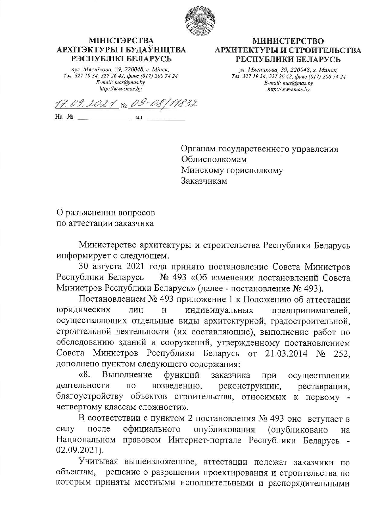

## МІНІСТЭРСТВА АРХІТЭКТУРЫ І БУДАЎНІЦТВА РЭСПУБЛІКІ БЕЛАРУСЬ

вул. Мяснікова, 39, 220048, г. Мінск, Тэл. 327 19 34, 327 26 42, факс (017) 200 74 24<br>E-mail: mas@mas.by http://www.mas.by

## **МИНИСТЕРСТВО** АРХИТЕКТУРЫ И СТРОИТЕЛЬСТВА РЕСПУБЛИКИ БЕЛАРУСЬ

ул. Мясникова, 39, 220048, г. Минск, Тел. 327 19 34, 327 26 42, факс (017) 200 74 24 E-mail: mas@mas.bv http://www.mas.by

17.09.2021 No 09-08/11832  $Ha \tN2$ ад

Органам государственного управления Облисполкомам Минскому горисполкому Заказчикам

О разъяснении вопросов по аттестации заказчика

Министерство архитектуры и строительства Республики Беларусь информирует о следующем.

30 августа 2021 года принято постановление Совета Министров № 493 «Об изменении постановлений Совета Республики Беларусь Министров Республики Беларусь» (далее - постановление № 493).

Постановлением № 493 приложение 1 к Положению об аттестации юридических лиц И индивидуальных предпринимателей, осуществляющих отдельные виды архитектурной, градостроительной, строительной деятельности (их составляющие), выполнение работ по обследованию зданий и сооружений, утвержденному постановлением Совета Министров Республики Беларусь от 21.03.2014 № 252. дополнено пунктом следующего содержания:

 $\langle 8.$ Выполнение функций заказчика при осуществлении деятельности  $\Pi$ O возведению, реконструкции, реставрации, благоустройству объектов строительства, относимых к первому четвертому классам сложности».

В соответствии с пунктом 2 постановления № 493 оно вступает в силу после официального опубликования (опубликовано на Национальном правовом Интернет-портале Республики Беларусь - $02.09.2021$ ).

Учитывая вышеизложенное, аттестации полежат заказчики по объектам. решение о разрешении проектирования и строительства по которым приняты местными исполнительными и распорядительными